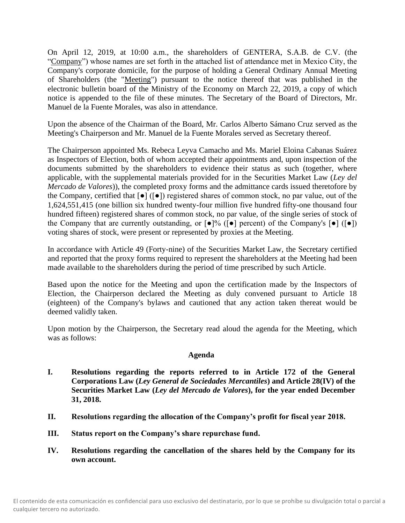On April 12, 2019, at 10:00 a.m., the shareholders of GENTERA, S.A.B. de C.V. (the "Company") whose names are set forth in the attached list of attendance met in Mexico City, the Company's corporate domicile, for the purpose of holding a General Ordinary Annual Meeting of Shareholders (the "Meeting") pursuant to the notice thereof that was published in the electronic bulletin board of the Ministry of the Economy on March 22, 2019, a copy of which notice is appended to the file of these minutes. The Secretary of the Board of Directors, Mr. Manuel de la Fuente Morales, was also in attendance.

Upon the absence of the Chairman of the Board, Mr. Carlos Alberto Sámano Cruz served as the Meeting's Chairperson and Mr. Manuel de la Fuente Morales served as Secretary thereof.

The Chairperson appointed Ms. Rebeca Leyva Camacho and Ms. Mariel Eloina Cabanas Suárez as Inspectors of Election, both of whom accepted their appointments and, upon inspection of the documents submitted by the shareholders to evidence their status as such (together, where applicable, with the supplemental materials provided for in the Securities Market Law (*Ley del Mercado de Valores*)), the completed proxy forms and the admittance cards issued theretofore by the Company, certified that [●] ([●]) registered shares of common stock, no par value, out of the 1,624,551,415 (one billion six hundred twenty-four million five hundred fifty-one thousand four hundred fifteen) registered shares of common stock, no par value, of the single series of stock of the Company that are currently outstanding, or  $\lceil \bullet \rceil\%$  ( $\lceil \bullet \rceil$ ) percent) of the Company's  $\lceil \bullet \rceil$  ( $\lceil \bullet \rceil$ ) voting shares of stock, were present or represented by proxies at the Meeting.

In accordance with Article 49 (Forty-nine) of the Securities Market Law, the Secretary certified and reported that the proxy forms required to represent the shareholders at the Meeting had been made available to the shareholders during the period of time prescribed by such Article.

Based upon the notice for the Meeting and upon the certification made by the Inspectors of Election, the Chairperson declared the Meeting as duly convened pursuant to Article 18 (eighteen) of the Company's bylaws and cautioned that any action taken thereat would be deemed validly taken.

Upon motion by the Chairperson, the Secretary read aloud the agenda for the Meeting, which was as follows:

### **Agenda**

- **I. Resolutions regarding the reports referred to in Article 172 of the General Corporations Law (***Ley General de Sociedades Mercantiles***) and Article 28(IV) of the Securities Market Law (***Ley del Mercado de Valores***), for the year ended December 31, 2018.**
- **II. Resolutions regarding the allocation of the Company's profit for fiscal year 2018.**
- **III. Status report on the Company's share repurchase fund.**
- **IV. Resolutions regarding the cancellation of the shares held by the Company for its own account.**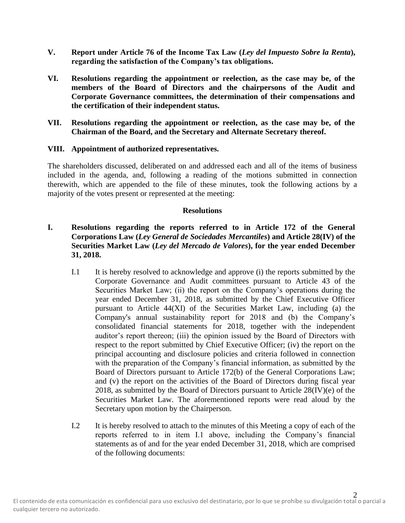- **V. Report under Article 76 of the Income Tax Law (***Ley del Impuesto Sobre la Renta***), regarding the satisfaction of the Company's tax obligations.**
- **VI. Resolutions regarding the appointment or reelection, as the case may be, of the members of the Board of Directors and the chairpersons of the Audit and Corporate Governance committees, the determination of their compensations and the certification of their independent status.**
- **VII. Resolutions regarding the appointment or reelection, as the case may be, of the Chairman of the Board, and the Secretary and Alternate Secretary thereof.**

#### **VIII. Appointment of authorized representatives.**

The shareholders discussed, deliberated on and addressed each and all of the items of business included in the agenda, and, following a reading of the motions submitted in connection therewith, which are appended to the file of these minutes, took the following actions by a majority of the votes present or represented at the meeting:

#### **Resolutions**

# **I. Resolutions regarding the reports referred to in Article 172 of the General Corporations Law (***Ley General de Sociedades Mercantiles***) and Article 28(IV) of the Securities Market Law (***Ley del Mercado de Valores***), for the year ended December 31, 2018.**

- I.1 It is hereby resolved to acknowledge and approve (i) the reports submitted by the Corporate Governance and Audit committees pursuant to Article 43 of the Securities Market Law; (ii) the report on the Company's operations during the year ended December 31, 2018, as submitted by the Chief Executive Officer pursuant to Article 44(XI) of the Securities Market Law, including (a) the Company's annual sustainability report for 2018 and (b) the Company's consolidated financial statements for 2018, together with the independent auditor's report thereon; (iii) the opinion issued by the Board of Directors with respect to the report submitted by Chief Executive Officer; (iv) the report on the principal accounting and disclosure policies and criteria followed in connection with the preparation of the Company's financial information, as submitted by the Board of Directors pursuant to Article 172(b) of the General Corporations Law; and (v) the report on the activities of the Board of Directors during fiscal year 2018, as submitted by the Board of Directors pursuant to Article  $28(IV)(e)$  of the Securities Market Law. The aforementioned reports were read aloud by the Secretary upon motion by the Chairperson.
- I.2 It is hereby resolved to attach to the minutes of this Meeting a copy of each of the reports referred to in item I.1 above, including the Company's financial statements as of and for the year ended December 31, 2018, which are comprised of the following documents: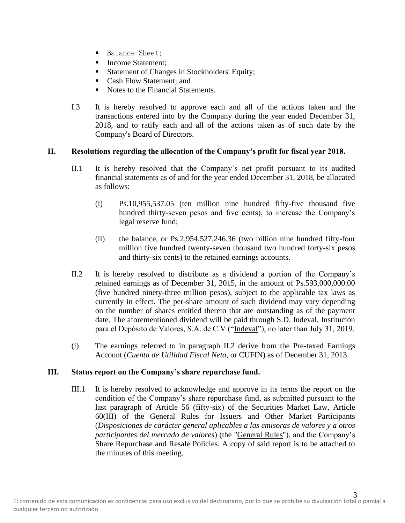- Balance Sheet:
- Income Statement;
- **Exercise 1** Statement of Changes in Stockholders' Equity;
- Cash Flow Statement; and
- Notes to the Financial Statements.
- I.3 It is hereby resolved to approve each and all of the actions taken and the transactions entered into by the Company during the year ended December 31, 2018, and to ratify each and all of the actions taken as of such date by the Company's Board of Directors.

### **II. Resolutions regarding the allocation of the Company's profit for fiscal year 2018.**

- II.1 It is hereby resolved that the Company's net profit pursuant to its audited financial statements as of and for the year ended December 31, 2018, be allocated as follows:
	- (i) Ps.10,955,537.05 (ten million nine hundred fifty-five thousand five hundred thirty-seven pesos and five cents), to increase the Company's legal reserve fund;
	- (ii) the balance, or Ps.2,954,527,246.36 (two billion nine hundred fifty-four million five hundred twenty-seven thousand two hundred forty-six pesos and thirty-six cents) to the retained earnings accounts.
- II.2 It is hereby resolved to distribute as a dividend a portion of the Company's retained earnings as of December 31, 2015, in the amount of Ps.593,000,000.00 (five hundred ninety-three million pesos), subject to the applicable tax laws as currently in effect. The per-share amount of such dividend may vary depending on the number of shares entitled thereto that are outstanding as of the payment date. The aforementioned dividend will be paid through S.D. Indeval, Institución para el Depósito de Valores, S.A. de C.V ("Indeval"), no later than July 31, 2019.
- (i) The earnings referred to in paragraph II.2 derive from the Pre-taxed Earnings Account (*Cuenta de Utilidad Fiscal Neta,* or CUFIN) as of December 31, 2013.

### **III. Status report on the Company's share repurchase fund.**

III.1 It is hereby resolved to acknowledge and approve in its terms the report on the condition of the Company's share repurchase fund, as submitted pursuant to the last paragraph of Article 56 (fifty-six) of the Securities Market Law, Article 60(III) of the General Rules for Issuers and Other Market Participants (*Disposiciones de carácter general aplicables a las emisoras de valores y a otros participantes del mercado de valores*) (the "General Rules"), and the Company's Share Repurchase and Resale Policies. A copy of said report is to be attached to the minutes of this meeting.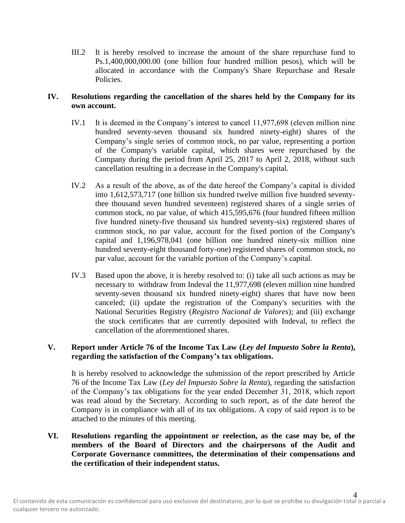III.2 It is hereby resolved to increase the amount of the share repurchase fund to Ps.1,400,000,000.00 (one billion four hundred million pesos), which will be allocated in accordance with the Company's Share Repurchase and Resale Policies.

## **IV. Resolutions regarding the cancellation of the shares held by the Company for its own account.**

- IV.1 It is deemed in the Company's interest to cancel 11,977,698 (eleven million nine hundred seventy-seven thousand six hundred ninety-eight) shares of the Company's single series of common stock, no par value, representing a portion of the Company's variable capital, which shares were repurchased by the Company during the period from April 25, 2017 to April 2, 2018, without such cancellation resulting in a decrease in the Company's capital.
- IV.2 As a result of the above, as of the date hereof the Company's capital is divided into 1,612,573,717 (one billion six hundred twelve million five hundred seventythee thousand seven hundred seventeen) registered shares of a single series of common stock, no par value, of which 415,595,676 (four hundred fifteen million five hundred ninety-five thousand six hundred seventy-six) registered shares of common stock, no par value, account for the fixed portion of the Company's capital and 1,196,978,041 (one billion one hundred ninety-six million nine hundred seventy-eight thousand forty-one) registered shares of common stock, no par value, account for the variable portion of the Company's capital.
- IV.3 Based upon the above, it is hereby resolved to: (i) take all such actions as may be necessary to withdraw from Indeval the 11,977,698 (eleven million nine hundred seventy-seven thousand six hundred ninety-eight) shares that have now been canceled; (ii) update the registration of the Company's securities with the National Securities Registry (*Registro Nacional de Valores*); and (iii) exchange the stock certificates that are currently deposited with Indeval, to reflect the cancellation of the aforementioned shares.

# **V. Report under Article 76 of the Income Tax Law (***Ley del Impuesto Sobre la Renta***), regarding the satisfaction of the Company's tax obligations.**

It is hereby resolved to acknowledge the submission of the report prescribed by Article 76 of the Income Tax Law (*Ley del Impuesto Sobre la Renta*), regarding the satisfaction of the Company's tax obligations for the year ended December 31, 2018, which report was read aloud by the Secretary. According to such report, as of the date hereof the Company is in compliance with all of its tax obligations. A copy of said report is to be attached to the minutes of this meeting.

**VI. Resolutions regarding the appointment or reelection, as the case may be, of the members of the Board of Directors and the chairpersons of the Audit and Corporate Governance committees, the determination of their compensations and the certification of their independent status.**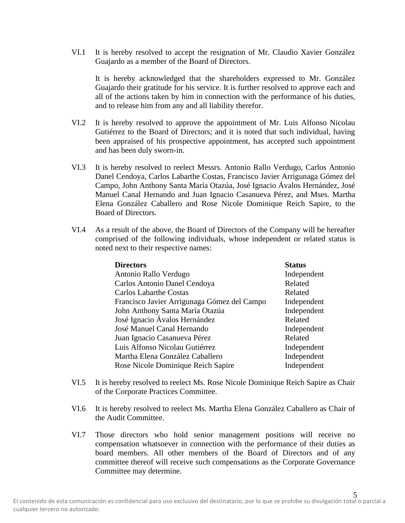VI.1 It is hereby resolved to accept the resignation of Mr. Claudio Xavier González Guajardo as a member of the Board of Directors.

It is hereby acknowledged that the shareholders expressed to Mr. González Guajardo their gratitude for his service. It is further resolved to approve each and all of the actions taken by him in connection with the performance of his duties, and to release him from any and all liability therefor.

- VI.2 It is hereby resolved to approve the appointment of Mr. Luis Alfonso Nicolau Gutiérrez to the Board of Directors; and it is noted that such individual, having been appraised of his prospective appointment, has accepted such appointment and has been duly sworn-in.
- VI.3 It is hereby resolved to reelect Messrs. Antonio Rallo Verdugo, Carlos Antonio Danel Cendoya, Carlos Labarthe Costas, Francisco Javier Arrigunaga Gómez del Campo, John Anthony Santa María Otazúa, José Ignacio Ávalos Hernández, José Manuel Canal Hernando and Juan Ignacio Casanueva Pérez, and Mses. Martha Elena González Caballero and Rose Nicole Dominique Reich Sapire, to the Board of Directors.
- VI.4 As a result of the above, the Board of Directors of the Company will be hereafter comprised of the following individuals, whose independent or related status is noted next to their respective names:

| <b>Directors</b>                            | <b>Status</b> |
|---------------------------------------------|---------------|
| Antonio Rallo Verdugo                       | Independent   |
| Carlos Antonio Danel Cendoya                | Related       |
| <b>Carlos Labarthe Costas</b>               | Related       |
| Francisco Javier Arrigunaga Gómez del Campo | Independent   |
| John Anthony Santa María Otazúa             | Independent   |
| José Ignacio Ávalos Hernández               | Related       |
| José Manuel Canal Hernando                  | Independent   |
| Juan Ignacio Casanueva Pérez                | Related       |
| Luis Alfonso Nicolau Gutiérrez              | Independent   |
| Martha Elena González Caballero             | Independent   |
| Rose Nicole Dominique Reich Sapire          | Independent   |

- VI.5 It is hereby resolved to reelect Ms. Rose Nicole Dominique Reich Sapire as Chair of the Corporate Practices Committee.
- VI.6 It is hereby resolved to reelect Ms. Martha Elena González Caballero as Chair of the Audit Committee.
- VI.7 Those directors who hold senior management positions will receive no compensation whatsoever in connection with the performance of their duties as board members. All other members of the Board of Directors and of any committee thereof will receive such compensations as the Corporate Governance Committee may determine.